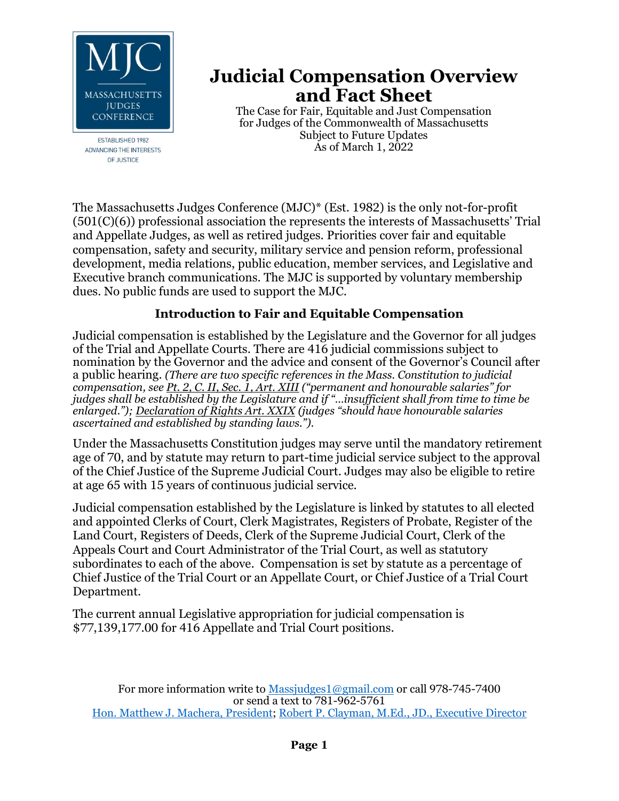

**ESTABLISHED 1982** ADVANCING THE INTERESTS OF JUSTICE

# **Judicial Compensation Overview and Fact Sheet**

The Case for Fair, Equitable and Just Compensation for Judges of the Commonwealth of Massachusetts Subject to Future Updates As of March 1, 2022

The Massachusetts Judges Conference (MJC)\* (Est. 1982) is the only not-for-profit (501(C)(6)) professional association the represents the interests of Massachusetts' Trial and Appellate Judges, as well as retired judges. Priorities cover fair and equitable compensation, safety and security, military service and pension reform, professional development, media relations, public education, member services, and Legislative and Executive branch communications. The MJC is supported by voluntary membership dues. No public funds are used to support the MJC.

#### **Introduction to Fair and Equitable Compensation**

Judicial compensation is established by the Legislature and the Governor for all judges of the Trial and Appellate Courts. There are 416 judicial commissions subject to nomination by the Governor and the advice and consent of the Governor's Council after a public hearing. *(There are two specific references in the Mass. Constitution to judicial compensation, see Pt. 2, C. II, Sec. 1, Art. XIII ("permanent and honourable salaries" for judges shall be established by the Legislature and if "…insufficient shall from time to time be enlarged."); Declaration of Rights Art. XXIX (judges "should have honourable salaries ascertained and established by standing laws.").*

Under the Massachusetts Constitution judges may serve until the mandatory retirement age of 70, and by statute may return to part-time judicial service subject to the approval of the Chief Justice of the Supreme Judicial Court. Judges may also be eligible to retire at age 65 with 15 years of continuous judicial service.

Judicial compensation established by the Legislature is linked by statutes to all elected and appointed Clerks of Court, Clerk Magistrates, Registers of Probate, Register of the Land Court, Registers of Deeds, Clerk of the Supreme Judicial Court, Clerk of the Appeals Court and Court Administrator of the Trial Court, as well as statutory subordinates to each of the above. Compensation is set by statute as a percentage of Chief Justice of the Trial Court or an Appellate Court, or Chief Justice of a Trial Court Department.

The current annual Legislative appropriation for judicial compensation is \$77,139,177.00 for 416 Appellate and Trial Court positions.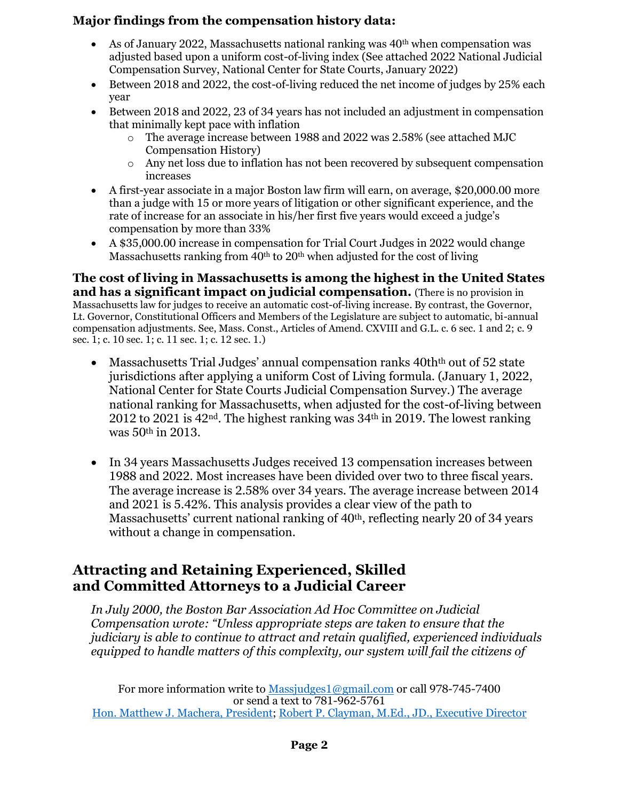#### **Major findings from the compensation history data:**

- As of January 2022, Massachusetts national ranking was  $40<sup>th</sup>$  when compensation was adjusted based upon a uniform cost-of-living index (See attached 2022 National Judicial Compensation Survey, National Center for State Courts, January 2022)
- Between 2018 and 2022, the cost-of-living reduced the net income of judges by 25% each year
- Between 2018 and 2022, 23 of 34 years has not included an adjustment in compensation that minimally kept pace with inflation
	- o The average increase between 1988 and 2022 was 2.58% (see attached MJC Compensation History)
	- o Any net loss due to inflation has not been recovered by subsequent compensation increases
- A first-year associate in a major Boston law firm will earn, on average, \$20,000.00 more than a judge with 15 or more years of litigation or other significant experience, and the rate of increase for an associate in his/her first five years would exceed a judge's compensation by more than 33%
- A \$35,000.00 increase in compensation for Trial Court Judges in 2022 would change Massachusetts ranking from  $40<sup>th</sup>$  to  $20<sup>th</sup>$  when adjusted for the cost of living

**The cost of living in Massachusetts is among the highest in the United States and has a significant impact on judicial compensation.** (There is no provision in Massachusetts law for judges to receive an automatic cost-of-living increase. By contrast, the Governor, Lt. Governor, Constitutional Officers and Members of the Legislature are subject to automatic, bi-annual compensation adjustments. See, Mass. Const., Articles of Amend. CXVIII and G.L. c. 6 sec. 1 and 2; c. 9 sec. 1; c. 10 sec. 1; c. 11 sec. 1; c. 12 sec. 1.)

- Massachusetts Trial Judges' annual compensation ranks 40th<sup>th</sup> out of 52 state jurisdictions after applying a uniform Cost of Living formula. (January 1, 2022, National Center for State Courts Judicial Compensation Survey.) The average national ranking for Massachusetts, when adjusted for the cost-of-living between 2012 to 2021 is 42<sup>nd</sup>. The highest ranking was  $34<sup>th</sup>$  in 2019. The lowest ranking was 50th in 2013.
- In 34 years Massachusetts Judges received 13 compensation increases between 1988 and 2022. Most increases have been divided over two to three fiscal years. The average increase is 2.58% over 34 years. The average increase between 2014 and 2021 is 5.42%. This analysis provides a clear view of the path to Massachusetts' current national ranking of 40<sup>th</sup>, reflecting nearly 20 of 34 years without a change in compensation.

## **Attracting and Retaining Experienced, Skilled and Committed Attorneys to a Judicial Career**

*In July 2000, the Boston Bar Association Ad Hoc Committee on Judicial Compensation wrote: "Unless appropriate steps are taken to ensure that the judiciary is able to continue to attract and retain qualified, experienced individuals equipped to handle matters of this complexity, our system will fail the citizens of* 

For more information write to [Massjudges1@gmail.com](mailto:Massjudges1@gmail.com) or call 978-745-7400 or send a text to 781-962-5761 [Hon. Matthew J. Machera, President;](mailto:MMachera@verizon.net) [Robert P. Clayman, M.Ed., JD., Executive Director](mailto:MassJudges1@gmail.com)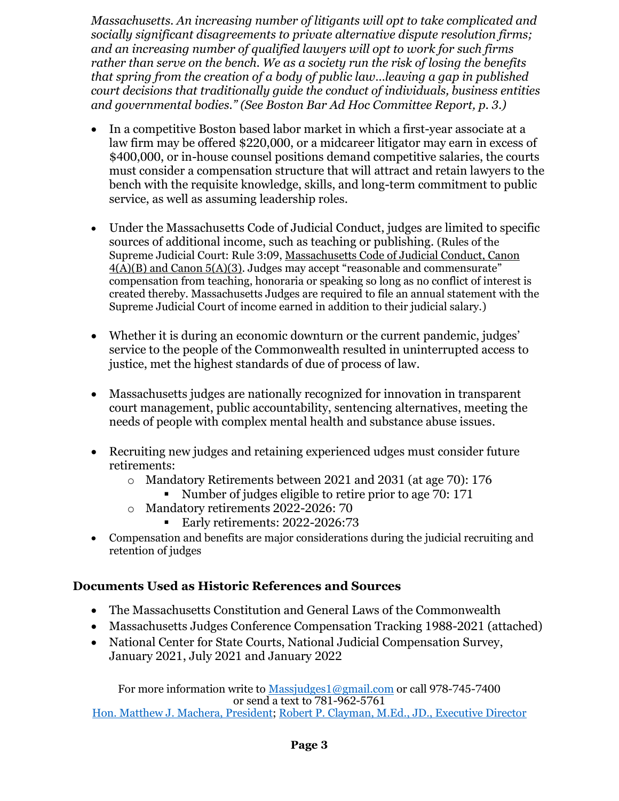*Massachusetts. An increasing number of litigants will opt to take complicated and socially significant disagreements to private alternative dispute resolution firms; and an increasing number of qualified lawyers will opt to work for such firms rather than serve on the bench. We as a society run the risk of losing the benefits that spring from the creation of a body of public law…leaving a gap in published court decisions that traditionally guide the conduct of individuals, business entities and governmental bodies." (See Boston Bar Ad Hoc Committee Report, p. 3.)*

- In a competitive Boston based labor market in which a first-year associate at a law firm may be offered \$220,000, or a midcareer litigator may earn in excess of \$400,000, or in-house counsel positions demand competitive salaries, the courts must consider a compensation structure that will attract and retain lawyers to the bench with the requisite knowledge, skills, and long-term commitment to public service, as well as assuming leadership roles.
- Under the Massachusetts Code of Judicial Conduct, judges are limited to specific sources of additional income, such as teaching or publishing. (Rules of the Supreme Judicial Court: Rule 3:09, Massachusetts Code of Judicial Conduct, Canon  $\overline{4(A)}(B)$  and Canon 5(A)(3). Judges may accept "reasonable and commensurate" compensation from teaching, honoraria or speaking so long as no conflict of interest is created thereby. Massachusetts Judges are required to file an annual statement with the Supreme Judicial Court of income earned in addition to their judicial salary.)
- Whether it is during an economic downturn or the current pandemic, judges' service to the people of the Commonwealth resulted in uninterrupted access to justice, met the highest standards of due of process of law.
- Massachusetts judges are nationally recognized for innovation in transparent court management, public accountability, sentencing alternatives, meeting the needs of people with complex mental health and substance abuse issues.
- Recruiting new judges and retaining experienced udges must consider future retirements:
	- o Mandatory Retirements between 2021 and 2031 (at age 70): 176
		- Number of judges eligible to retire prior to age 70: 171
	- o Mandatory retirements 2022-2026: 70
		- **Early retirements: 2022-2026:73**
- Compensation and benefits are major considerations during the judicial recruiting and retention of judges

### **Documents Used as Historic References and Sources**

- The Massachusetts Constitution and General Laws of the Commonwealth
- Massachusetts Judges Conference Compensation Tracking 1988-2021 (attached)
- National Center for State Courts, National Judicial Compensation Survey, January 2021, July 2021 and January 2022

For more information write to [Massjudges1@gmail.com](mailto:Massjudges1@gmail.com) or call 978-745-7400 or send a text to 781-962-5761 [Hon. Matthew J. Machera, President;](mailto:MMachera@verizon.net) [Robert P. Clayman, M.Ed., JD., Executive Director](mailto:MassJudges1@gmail.com)